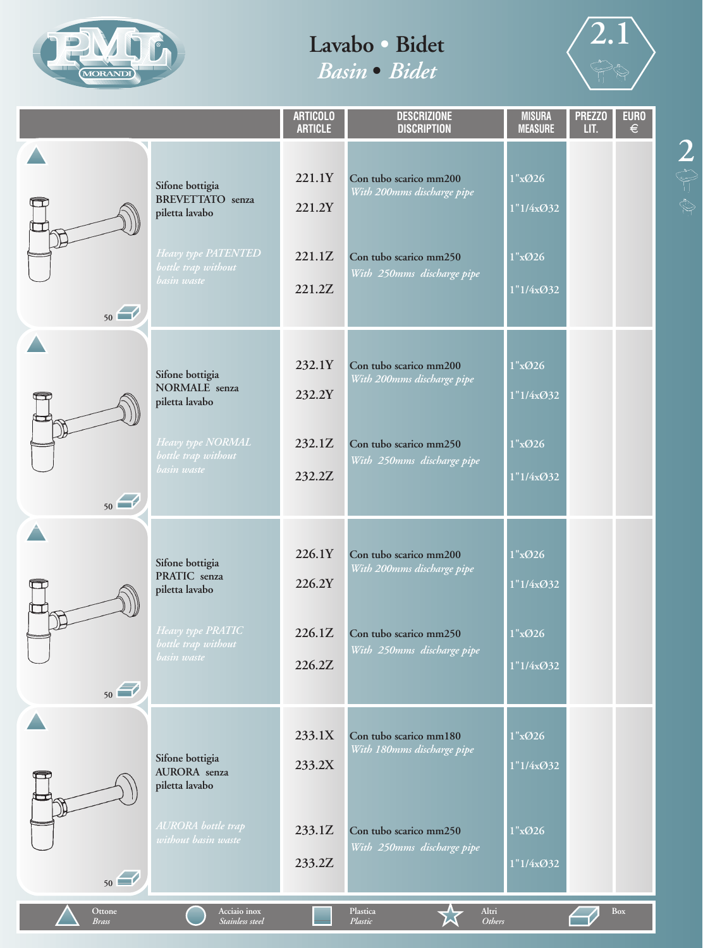



|                        |                                                                                                                           | <b>ARTICOLO</b><br><b>ARTICLE</b>    | <b>DESCRIZIONE</b><br><b>DISCRIPTION</b>                                                                     | <b>MISURA</b><br><b>MEASURE</b>            | <b>PREZZO</b><br>LIT. | <b>EURO</b><br>$\epsilon$ |
|------------------------|---------------------------------------------------------------------------------------------------------------------------|--------------------------------------|--------------------------------------------------------------------------------------------------------------|--------------------------------------------|-----------------------|---------------------------|
| 50                     | Sifone bottigia<br><b>BREVETTATO</b> senza<br>piletta lavabo<br>Heavy type PATENTED<br>bottle trap without<br>basin waste | 221.1Y<br>221.2Y<br>221.1Z<br>221.2Z | Con tubo scarico mm200<br>With 200mms discharge pipe<br>Con tubo scarico mm250<br>With 250mms discharge pipe | 1"x@26<br>1"1/4xØ32<br>1"x@26<br>1"1/4xØ32 |                       |                           |
| 50                     | Sifone bottigia<br><b>NORMALE</b> senza<br>piletta lavabo<br>Heavy type NORMAL<br>bottle trap without<br>basin waste      | 232.1Y<br>232.2Y<br>232.1Z<br>232.2Z | Con tubo scarico mm200<br>With 200mms discharge pipe<br>Con tubo scarico mm250<br>With 250mms discharge pipe | 1"x@26<br>1"1/4xØ32<br>1"x@26<br>1"1/4xØ32 |                       |                           |
| 阻<br>50                | Sifone bottigia<br>PRATIC senza<br>piletta lavabo<br>Heavy type PRATIC<br>bottle trap without<br>basin waste              | 226.1Y<br>226.2Y<br>226.1Z<br>226.2Z | Con tubo scarico mm200<br>With 200mms discharge pipe<br>Con tubo scarico mm250<br>With 250mms discharge pipe | 1"x@26<br>1"1/4xØ32<br>1"x@26<br>1"1/4xØ32 |                       |                           |
| 50                     | Sifone bottigia<br>AURORA senza<br>piletta lavabo<br>AURORA bottle trap<br>without basin waste                            | 233.1X<br>233.2X<br>233.1Z<br>233.2Z | Con tubo scarico mm180<br>With 180mms discharge pipe<br>Con tubo scarico mm250<br>With 250mms discharge pipe | 1"x@26<br>1"1/4xØ32<br>1"x@26<br>1"1/4xØ32 |                       |                           |
| Ottone<br><b>Brass</b> | Acciaio inox<br>Stainless steel                                                                                           |                                      | Plastica<br>Altri<br>Others<br>Plastic                                                                       |                                            |                       | Box                       |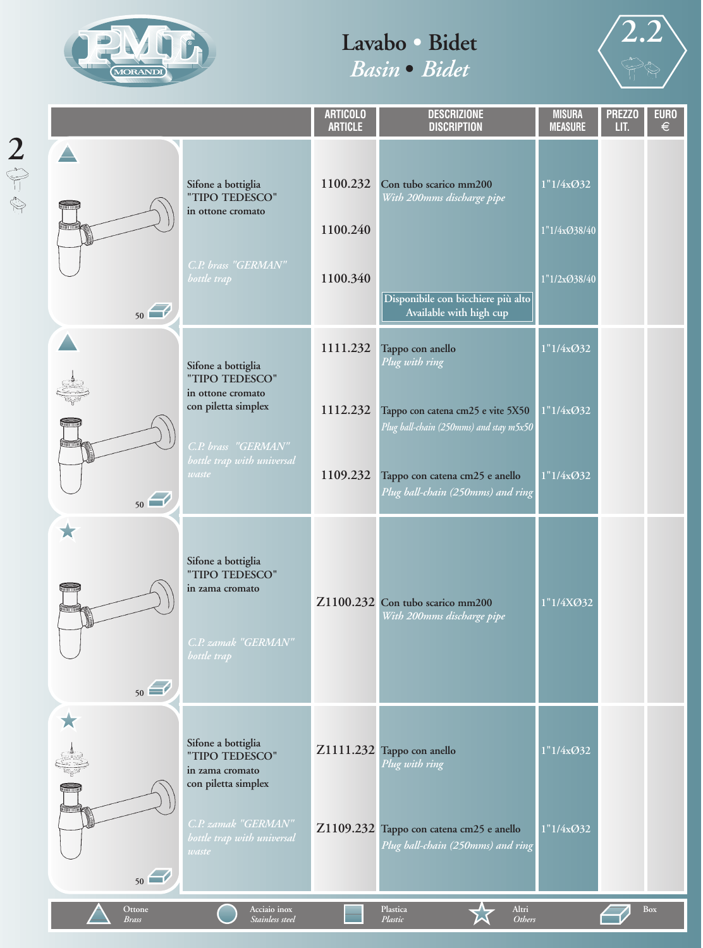



|                                    |                                          |                                                                                                 | <b>ARTICOLO</b><br><b>ARTICLE</b> | <b>DESCRIZIONE</b><br><b>DISCRIPTION</b>                                                                              | <b>MISURA</b><br><b>MEASURE</b>           | <b>PREZZO</b><br>LIT. | <b>EURO</b><br>$\epsilon$ |
|------------------------------------|------------------------------------------|-------------------------------------------------------------------------------------------------|-----------------------------------|-----------------------------------------------------------------------------------------------------------------------|-------------------------------------------|-----------------------|---------------------------|
| $\frac{2}{\sqrt[8]{\frac{1}{2}}}\$ | ê,<br>50                                 | Sifone a bottiglia<br>"TIPO TEDESCO"<br>in ottone cromato<br>C.P. brass "GERMAN"<br>bottle trap | 1100.232<br>1100.240<br>1100.340  | Con tubo scarico mm200<br>With 200mms discharge pipe<br>Disponibile con bicchiere più alto<br>Available with high cup | 1"1/4xØ32<br>1"1/4xØ38/40<br>1"1/2xØ38/40 |                       |                           |
|                                    |                                          | Sifone a bottiglia<br>"TIPO TEDESCO"                                                            | 1111.232                          | Tappo con anello<br>Plug with ring                                                                                    | 1"1/4x@32                                 |                       |                           |
|                                    | Œ<br>առում                               | in ottone cromato<br>con piletta simplex<br>C.P. brass "GERMAN"                                 | 1112.232                          | Tappo con catena cm25 e vite 5X50<br>Plug ball-chain (250mms) and stay m5x50                                          | 1"1/4x@32                                 |                       |                           |
|                                    | 50                                       | bottle trap with universal<br>waste                                                             | 1109.232                          | Tappo con catena cm25 e anello<br>Plug ball-chain (250mms) and ring                                                   | 1"1/4x@32                                 |                       |                           |
|                                    | $\bigstar$<br>யார<br><b>Millim</b><br>50 | Sifone a bottiglia<br>"TIPO TEDESCO"<br>in zama cromato<br>C.P. zamak "GERMAN"<br>bottle trap   |                                   | Z1100.232 Con tubo scarico mm200<br>With 200mms discharge pipe                                                        | 1"1/4XØ32                                 |                       |                           |
|                                    | ★<br>Ş.                                  | Sifone a bottiglia<br>"TIPO TEDESCO"<br>in zama cromato<br>con piletta simplex                  |                                   | Z1111.232 Tappo con anello<br>Plug with ring                                                                          | 1"1/4xØ32                                 |                       |                           |
|                                    | առա<br>50                                | C.P. zamak "GERMAN"<br>bottle trap with universal<br>waste                                      |                                   | Z1109.232 Tappo con catena cm25 e anello<br>Plug ball-chain (250mms) and ring                                         | 1"1/4xØ32                                 |                       |                           |
|                                    | Ottone<br>Brass                          | Acciaio inox<br>Stainless steel                                                                 |                                   | Plastica<br>Altri<br>Plastic<br>Others                                                                                |                                           |                       | <b>Box</b>                |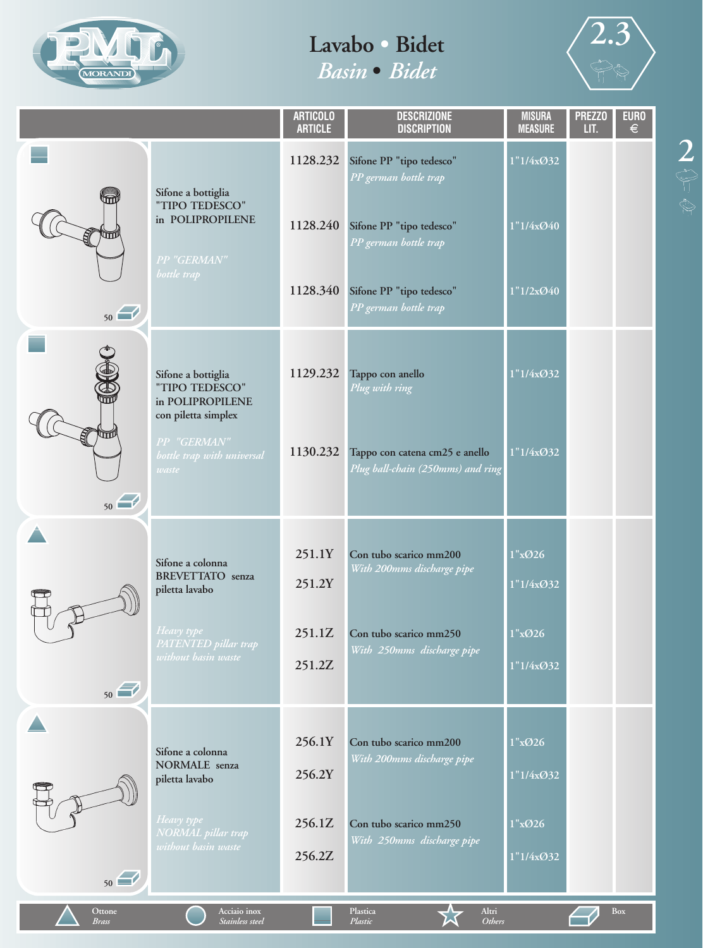



|                        |                                                                                 | <b>ARTICOLO</b><br><b>ARTICLE</b> | <b>DESCRIZIONE</b><br><b>DISCRIPTION</b>                            | <b>MISURA</b><br><b>MEASURE</b> | <b>PREZZO</b><br>LIT. | <b>EURO</b><br>€ |
|------------------------|---------------------------------------------------------------------------------|-----------------------------------|---------------------------------------------------------------------|---------------------------------|-----------------------|------------------|
|                        |                                                                                 | 1128.232                          | Sifone PP "tipo tedesco"<br>PP german bottle trap                   | 1"1/4xØ32                       |                       |                  |
| 50                     | Sifone a bottiglia<br>"TIPO TEDESCO"<br>in POLIPROPILENE<br>PP "GERMAN"         | 1128.240                          | Sifone PP "tipo tedesco"<br>PP german bottle trap                   | 1"1/4x@40                       |                       |                  |
|                        | bottle trap                                                                     | 1128.340                          | Sifone PP "tipo tedesco"<br>PP german bottle trap                   | 1"1/2x@40                       |                       |                  |
| ESCO                   | Sifone a bottiglia<br>"TIPO TEDESCO"<br>in POLIPROPILENE<br>con piletta simplex | 1129.232                          | Tappo con anello<br>Plug with ring                                  | 1"1/4x@32                       |                       |                  |
| 50                     | PP "GERMAN"<br>bottle trap with universal<br>waste                              | 1130.232                          | Tappo con catena cm25 e anello<br>Plug ball-chain (250mms) and ring | 1"1/4xØ32                       |                       |                  |
|                        | Sifone a colonna<br><b>BREVETTATO</b> senza<br>piletta lavabo                   | 251.1Y<br>251.2Y                  | Con tubo scarico mm200<br>With 200mms discharge pipe                | 1"x@26<br>1"1/4xØ32             |                       |                  |
| 50                     | Heavy type<br>PATENTED pillar trap<br>without basin waste                       | 251.1Z<br>251.2Z                  | Con tubo scarico mm250<br>With 250mms discharge pipe                | 1"x@26<br>1"1/4xØ32             |                       |                  |
|                        | Sifone a colonna<br>NORMALE senza<br>piletta lavabo                             | 256.1Y<br>256.2Y                  | Con tubo scarico mm200<br>With 200mms discharge pipe                | 1"x@26<br>1"1/4xØ32             |                       |                  |
| 50                     | Heavy type<br>NORMAL pillar trap<br>without basin waste                         | 256.1Z<br>256.2Z                  | Con tubo scarico mm250<br>With 250mms discharge pipe                | 1"x@26<br>1"1/4xØ32             |                       |                  |
| Ottone<br><b>Brass</b> | Acciaio inox<br>Stainless steel                                                 |                                   | Altri<br>Plastica<br>Plastic<br><b>Others</b>                       |                                 |                       | Box              |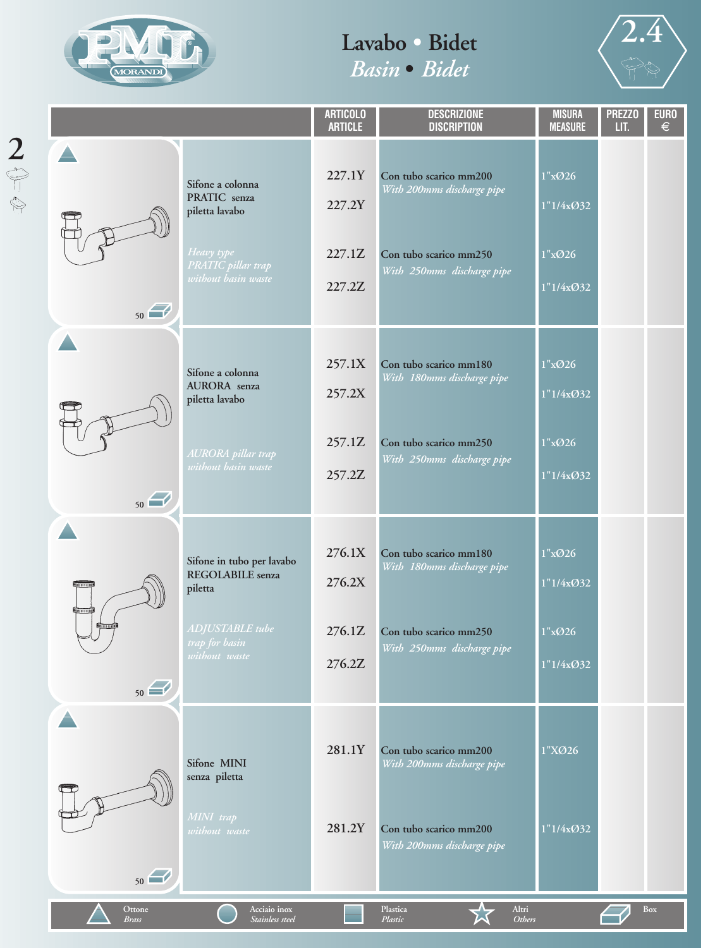

2<br>
<sup><br>
●</sup><br>
◎



|                                            |                                                                                                                       | <b>ARTICOLO</b><br><b>ARTICLE</b>    | <b>DESCRIZIONE</b><br><b>DISCRIPTION</b>                                                                     | <b>MISURA</b><br><b>MEASURE</b>            | <b>PREZZO</b><br>LIT. | <b>EURO</b><br>$\epsilon$ |
|--------------------------------------------|-----------------------------------------------------------------------------------------------------------------------|--------------------------------------|--------------------------------------------------------------------------------------------------------------|--------------------------------------------|-----------------------|---------------------------|
| 50                                         | Sifone a colonna<br>PRATIC senza<br>piletta lavabo<br>Heavy type<br><b>PRATIC</b> pillar trap<br>without basin waste  | 227.1Y<br>227.2Y<br>227.1Z<br>227.2Z | Con tubo scarico mm200<br>With 200mms discharge pipe<br>Con tubo scarico mm250<br>With 250mms discharge pipe | 1"x@26<br>1"1/4x@32<br>1"x@26<br>1"1/4x@32 |                       |                           |
| 50                                         | Sifone a colonna<br><b>AURORA</b> senza<br>piletta lavabo<br>AURORA pillar trap<br>without basin waste                | 257.1X<br>257.2X<br>257.1Z<br>257.2Z | Con tubo scarico mm180<br>With 180mms discharge pipe<br>Con tubo scarico mm250<br>With 250mms discharge pipe | 1"x@26<br>1"1/4x@32<br>1"x@26<br>1"1/4x@32 |                       |                           |
| <b>Daim minut</b><br><b>Limitary</b><br>50 | Sifone in tubo per lavabo<br><b>REGOLABILE</b> senza<br>piletta<br>ADJUSTABLE tube<br>trap for basin<br>without waste | 276.1X<br>276.2X<br>276.1Z<br>276.2Z | Con tubo scarico mm180<br>With 180mms discharge pipe<br>Con tubo scarico mm250<br>With 250mms discharge pipe | 1"x@26<br>1"1/4x@32<br>1"x@26<br>1"1/4x@32 |                       |                           |
| Ħ<br>50                                    | Sifone MINI<br>senza piletta<br>MINI trap<br>without waste                                                            | 281.1Y<br>281.2Y                     | Con tubo scarico mm200<br>With 200mms discharge pipe<br>Con tubo scarico mm200<br>With 200mms discharge pipe | 1"XØ26<br>1"1/4xO32                        |                       |                           |
| Ottone<br><b>Brass</b>                     | Acciaio inox<br>Stainless steel                                                                                       |                                      | Altri<br>Plastica<br>Others<br>Plastic                                                                       |                                            |                       | <b>Box</b>                |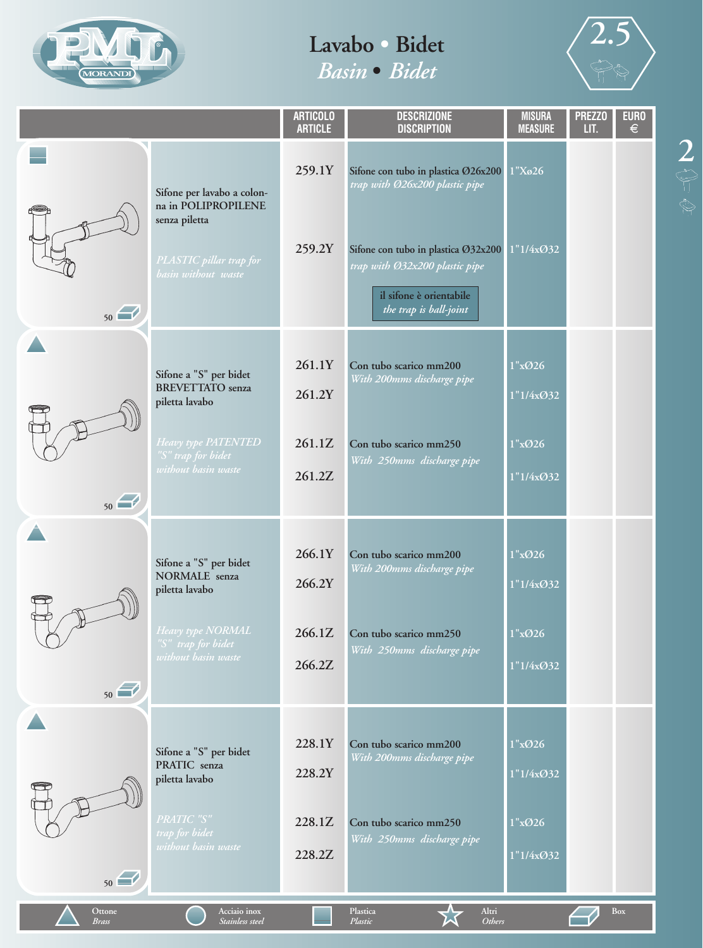



|                        |                                                                                                                      | <b>ARTICOLO</b><br><b>ARTICLE</b> | <b>DESCRIZIONE</b><br><b>DISCRIPTION</b>                                                                                                                                                            | <b>MISURA</b><br><b>MEASURE</b>  | <b>PREZZO</b><br>LIT. | <b>EURO</b><br>€ |
|------------------------|----------------------------------------------------------------------------------------------------------------------|-----------------------------------|-----------------------------------------------------------------------------------------------------------------------------------------------------------------------------------------------------|----------------------------------|-----------------------|------------------|
|                        | Sifone per lavabo a colon-<br>na in POLIPROPILENE<br>senza piletta<br>PLASTIC pillar trap for<br>basin without waste | 259.1Y<br>259.2Y                  | Sifone con tubo in plastica Ø26x200<br>trap with Ø26x200 plastic pipe<br>Sifone con tubo in plastica Ø32x200<br>trap with Ø32x200 plastic pipe<br>il sifone è orientabile<br>the trap is ball-joint | 1"X <sub>0</sub> 26<br>1"1/4x032 |                       |                  |
| 50                     |                                                                                                                      |                                   |                                                                                                                                                                                                     |                                  |                       |                  |
|                        | Sifone a "S" per bidet<br><b>BREVETTATO</b> senza<br>piletta lavabo                                                  | 261.1Y<br>261.2Y                  | Con tubo scarico mm200<br>With 200mms discharge pipe                                                                                                                                                | 1"x@26<br>1"1/4xO32              |                       |                  |
| 50                     | Heavy type PATENTED<br>"S" trap for bidet<br>without basin waste                                                     | 261.1Z<br>261.2Z                  | Con tubo scarico mm250<br>With 250mms discharge pipe                                                                                                                                                | 1"x@26<br>1"1/4xO32              |                       |                  |
|                        | Sifone a "S" per bidet<br><b>NORMALE</b> senza<br>piletta lavabo                                                     | 266.1Y<br>266.2Y                  | Con tubo scarico mm200<br>With 200mms discharge pipe                                                                                                                                                | 1"x@26<br>1"1/4xØ32              |                       |                  |
| 50                     | Heavy type NORMAL<br>"S" trap for bidet<br>without basin waste                                                       | 266.1Z<br>266.2Z                  | Con tubo scarico mm250<br>With 250mms discharge pipe                                                                                                                                                | 1"x@26<br>1"1/4x@32              |                       |                  |
|                        | Sifone a "S" per bidet<br>PRATIC senza<br>piletta lavabo                                                             | 228.1Y<br>228.2Y                  | Con tubo scarico mm200<br>With 200mms discharge pipe                                                                                                                                                | 1"x@26<br>1"1/4x@32              |                       |                  |
| 50                     | PRATIC "S"<br>trap for bidet<br>without basin waste                                                                  | 228.1Z<br>228.2Z                  | Con tubo scarico mm250<br>With 250mms discharge pipe                                                                                                                                                | 1"x@26<br>1"1/4x@32              |                       |                  |
| Ottone<br><b>Brass</b> | Acciaio inox<br>Stainless steel                                                                                      |                                   | Plastica<br>Altri<br>Plastic<br><b>Others</b>                                                                                                                                                       |                                  |                       | Box              |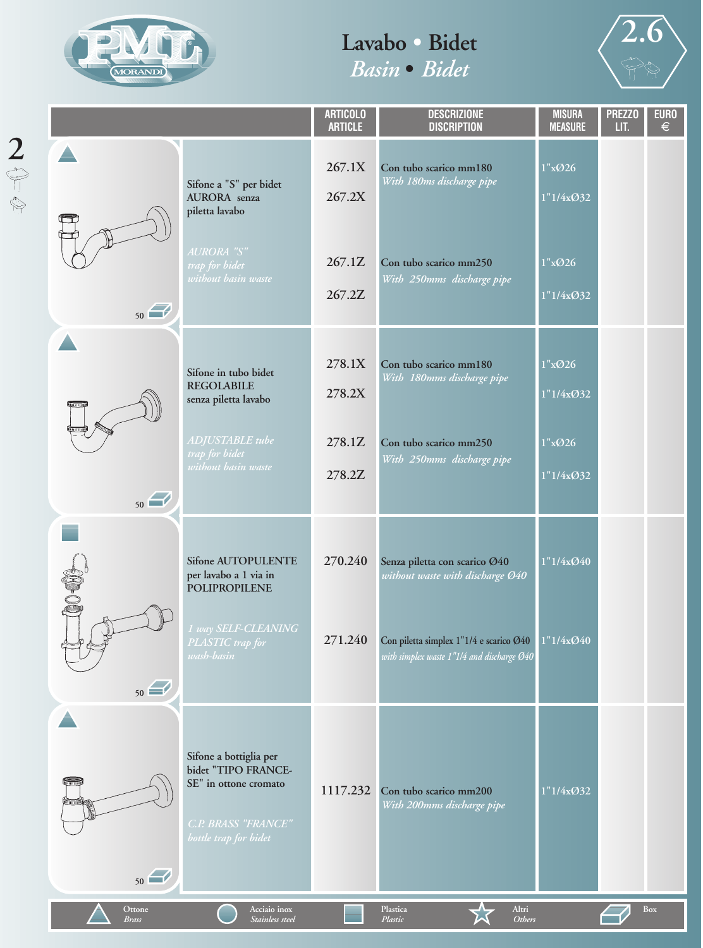

2<br>
<sup><br>
●</sup><br>
◎



|                        |                                                                                                                               | <b>ARTICOLO</b><br><b>ARTICLE</b> | <b>DESCRIZIONE</b><br><b>DISCRIPTION</b>                                              | <b>MISURA</b><br><b>MEASURE</b> | <b>PREZZO</b><br>LIT. | <b>EURO</b><br>$\in$ |
|------------------------|-------------------------------------------------------------------------------------------------------------------------------|-----------------------------------|---------------------------------------------------------------------------------------|---------------------------------|-----------------------|----------------------|
|                        | Sifone a "S" per bidet<br>AURORA senza<br>piletta lavabo                                                                      | 267.1X<br>267.2X                  | Con tubo scarico mm180<br>With 180ms discharge pipe                                   | 1"x@26<br>1"1/4xØ32             |                       |                      |
| 50                     | AURORA "S"<br>trap for bidet<br>without basin waste                                                                           | 267.1Z<br>267.2Z                  | Con tubo scarico mm250<br>With 250mms discharge pipe                                  | 1"x@26<br>1"1/4xØ32             |                       |                      |
| <b>That s en maple</b> | Sifone in tubo bidet<br><b>REGOLABILE</b><br>senza piletta lavabo                                                             | 278.1X<br>278.2X                  | Con tubo scarico mm180<br>With 180mms discharge pipe                                  | 1"x@26<br>1"1/4xØ32             |                       |                      |
| 50                     | ADJUSTABLE tube<br>trap for bidet<br>without basin waste                                                                      | 278.1Z<br>278.2Z                  | Con tubo scarico mm250<br>With 250mms discharge pipe                                  | 1"x@26<br>1"1/4xØ32             |                       |                      |
| SO-09                  | <b>Sifone AUTOPULENTE</b><br>per lavabo a 1 via in<br><b>POLIPROPILENE</b>                                                    | 270.240                           | Senza piletta con scarico Ø40<br>without waste with discharge Ø40                     | 1"1/4x@40                       |                       |                      |
| 50                     | 1 way SELF-CLEANING<br>PLASTIC trap for<br>wash- <u>basin</u>                                                                 | 271.240                           | Con piletta simplex 1"1/4 e scarico Ø40<br>with simplex waste 1"1/4 and discharge Ø40 | 1"1/4x@40                       |                       |                      |
| <del>€</del><br>50     | Sifone a bottiglia per<br>bidet "TIPO FRANCE-<br>SE" in ottone cromato<br><b>C.P. BRASS "FRANCE"</b><br>bottle trap for bidet | 1117.232                          | Con tubo scarico mm200<br>With 200mms discharge pipe                                  | 1"1/4xØ32                       |                       |                      |
| Ottone<br><b>Brass</b> | Acciaio inox<br>Stainless steel                                                                                               |                                   | Altri<br>Plastica<br><b>Others</b><br>Plastic                                         |                                 |                       | Box                  |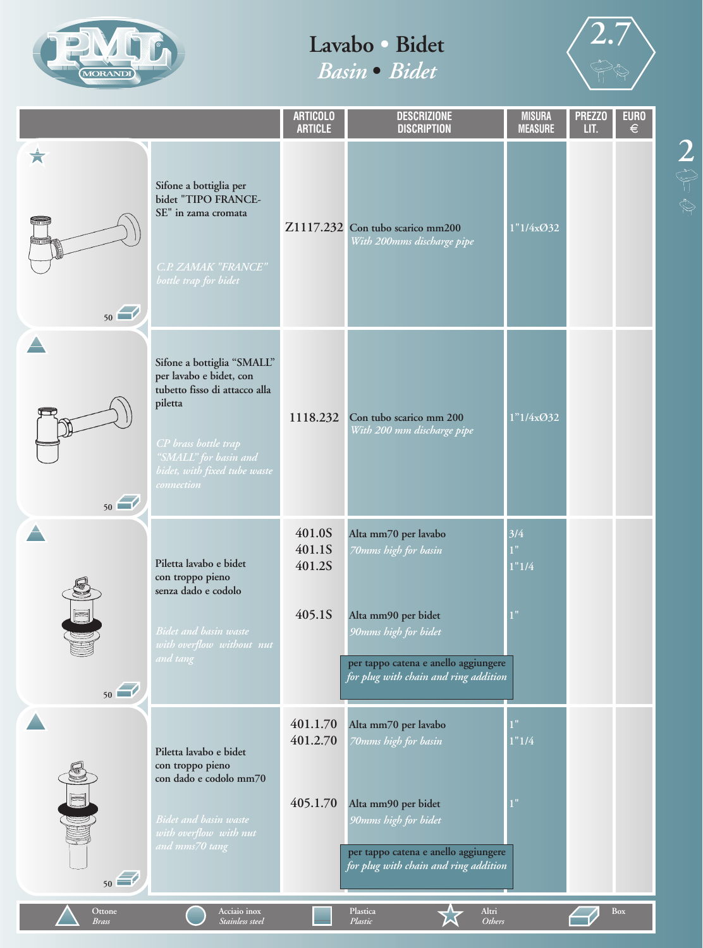



|                        |                                                                                                                                                                                                  | <b>ARTICOLO</b><br><b>ARTICLE</b>    | <b>DESCRIZIONE</b><br><b>DISCRIPTION</b>                                                                                                                                     | <b>MISURA</b><br><b>MEASURE</b> | <b>PREZZO</b><br>LIT. | <b>EURO</b><br>€ |
|------------------------|--------------------------------------------------------------------------------------------------------------------------------------------------------------------------------------------------|--------------------------------------|------------------------------------------------------------------------------------------------------------------------------------------------------------------------------|---------------------------------|-----------------------|------------------|
| X<br>50                | Sifone a bottiglia per<br>bidet "TIPO FRANCE-<br>SE" in zama cromata<br>C.P. ZAMAK "FRANCE"<br>bottle trap for bidet                                                                             |                                      | Z1117.232 Con tubo scarico mm200<br>With 200mms discharge pipe                                                                                                               | 1"1/4xO32                       |                       |                  |
| 50                     | Sifone a bottiglia "SMALL"<br>per lavabo e bidet, con<br>tubetto fisso di attacco alla<br>piletta<br>CP brass bottle trap<br>"SMALL" for basin and<br>bidet, with fixed tube waste<br>connection | 1118.232                             | Con tubo scarico mm 200<br>With 200 mm discharge pipe                                                                                                                        | 1"1/4x032                       |                       |                  |
| 50                     | Piletta lavabo e bidet<br>con troppo pieno<br>senza dado e codolo<br><b>Bidet and basin waste</b><br>with overflow without nut<br>and tang                                                       | 401.0S<br>401.1S<br>401.2S<br>405.1S | Alta mm70 per lavabo<br>70mms high for basin<br>Alta mm90 per bidet<br>90mms high for bidet<br>per tappo catena e anello aggiungere<br>for plug with chain and ring addition | 3/4<br>1"<br>1"1/4              |                       |                  |
| ung<br>F<br>50         | Piletta lavabo e bidet<br>con troppo pieno<br>con dado e codolo mm70<br><b>Bidet and basin waste</b><br>with overflow with nut<br>and mms70 tang                                                 | 401.1.70<br>401.2.70<br>405.1.70     | Alta mm70 per lavabo<br>70mms high for basin<br>Alta mm90 per bidet<br>90mms high for bidet<br>per tappo catena e anello aggiungere<br>for plug with chain and ring addition | 1"<br>1"1/4<br>1"               |                       |                  |
| Ottone<br><b>Brass</b> | Acciaio inox<br>Stainless steel                                                                                                                                                                  |                                      | Altri<br>Plastica<br>Plastic<br><b>Others</b>                                                                                                                                |                                 |                       | <b>Box</b>       |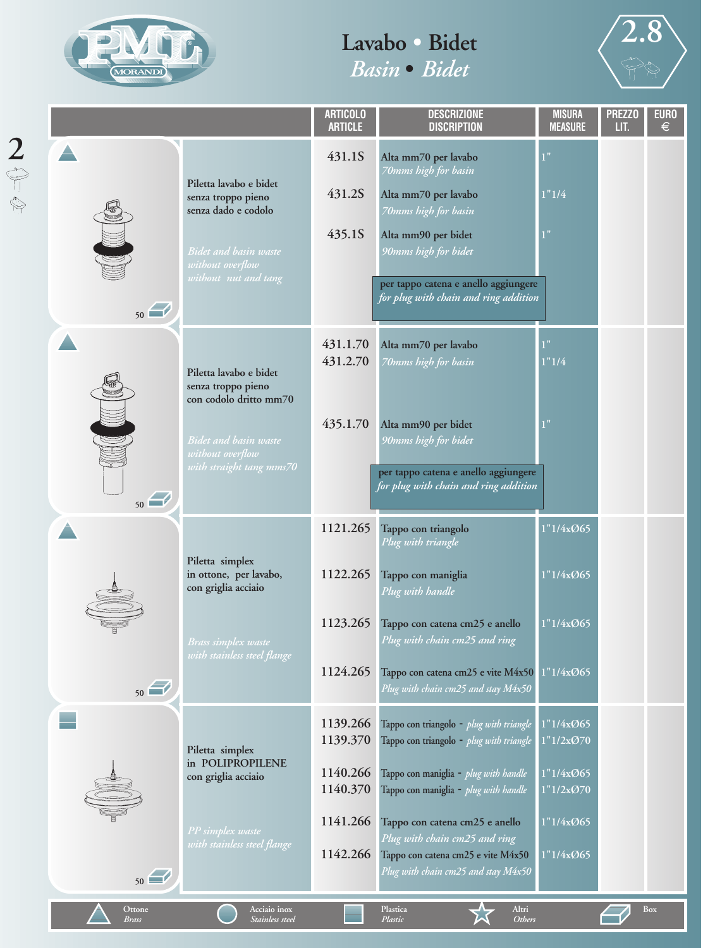

*Brass*

*Stainless steel*

## **Lavabo • Bidet**  *Basin* **•** *Bidet*



|               |                        |                                                                                                                                                             | <b>ARTICOLO</b><br><b>ARTICLE</b>                                    | <b>DESCRIZIONE</b><br><b>DISCRIPTION</b>                                                                                                                                                                                                                                                                               | <b>MISURA</b><br><b>MEASURE</b>                                            | <b>PREZZO</b><br>LIT. | <b>EURO</b><br>$\epsilon$ |
|---------------|------------------------|-------------------------------------------------------------------------------------------------------------------------------------------------------------|----------------------------------------------------------------------|------------------------------------------------------------------------------------------------------------------------------------------------------------------------------------------------------------------------------------------------------------------------------------------------------------------------|----------------------------------------------------------------------------|-----------------------|---------------------------|
| $\frac{2}{9}$ | 50                     | Piletta lavabo e bidet<br>senza troppo pieno<br>senza dado e codolo<br>Bidet and basin waste<br>without overflow<br>without nut and tang                    | 431.1S<br>431.2S<br>435.1S                                           | Alta mm70 per lavabo<br>70mms high for basin<br>Alta mm70 per lavabo<br>70mms high for basin<br>Alta mm90 per bidet<br>90mms high for bidet<br>per tappo catena e anello aggiungere<br>for plug with chain and ring addition                                                                                           | 1"<br>1"1/4<br>$\mathbf{\Phi}$                                             |                       |                           |
|               |                        | Piletta lavabo e bidet<br>senza troppo pieno<br>con codolo dritto mm70<br><b>Bidet and basin waste</b><br>without overflow<br>with straight tang mms70 $\,$ | 431.1.70<br>431.2.70<br>435.1.70                                     | Alta mm70 per lavabo<br>70mms high for basin<br>Alta mm90 per bidet<br>90mms high for bidet<br>per tappo catena e anello aggiungere<br>for plug with chain and ring addition                                                                                                                                           | 1"<br>1"1/4<br>1"                                                          |                       |                           |
|               | 50                     |                                                                                                                                                             |                                                                      |                                                                                                                                                                                                                                                                                                                        |                                                                            |                       |                           |
|               | 50                     | Piletta simplex<br>in ottone, per lavabo,<br>con griglia acciaio<br><b>Brass simplex waste</b><br>with stainless steel flange                               | 1121.265<br>1122.265<br>1123.265<br>1124.265                         | Tappo con triangolo<br>Plug with triangle<br>Tappo con maniglia<br>Plug with handle<br>Tappo con catena cm25 e anello<br>Plug with chain cm25 and ring<br>Tappo con catena cm25 e vite $M4x50$ $1"1/4x@65$<br>Plug with chain cm25 and stay M4x50                                                                      | 1"1/4xØ65<br>1"1/4xØ65<br>1"1/4xØ65                                        |                       |                           |
|               | 50                     | Piletta simplex<br>in POLIPROPILENE<br>con griglia acciaio<br>PP simplex waste<br>with stainless steel flange                                               | 1139.266<br>1139.370<br>1140.266<br>1140.370<br>1141.266<br>1142.266 | Tappo con triangolo - plug with triangle<br>Tappo con triangolo - plug with triangle<br>Tappo con maniglia - plug with handle<br>Tappo con maniglia - plug with handle<br>Tappo con catena cm25 e anello<br>Plug with chain cm25 and ring<br>Tappo con catena cm25 e vite M4x50<br>Plug with chain cm25 and stay M4x50 | 1"1/4xØ65<br>1"1/2x@70<br>1"1/4xØ65<br>1"1/2x@70<br>1"1/4x065<br>1"1/4x@65 |                       |                           |
|               | Ottone<br><b>Brass</b> | Acciaio inox<br><b>Stainless</b> steel                                                                                                                      |                                                                      | Altri<br>Plastica<br><b>Others</b><br>Plastic                                                                                                                                                                                                                                                                          |                                                                            |                       | Box                       |

*Plastic*

*Others*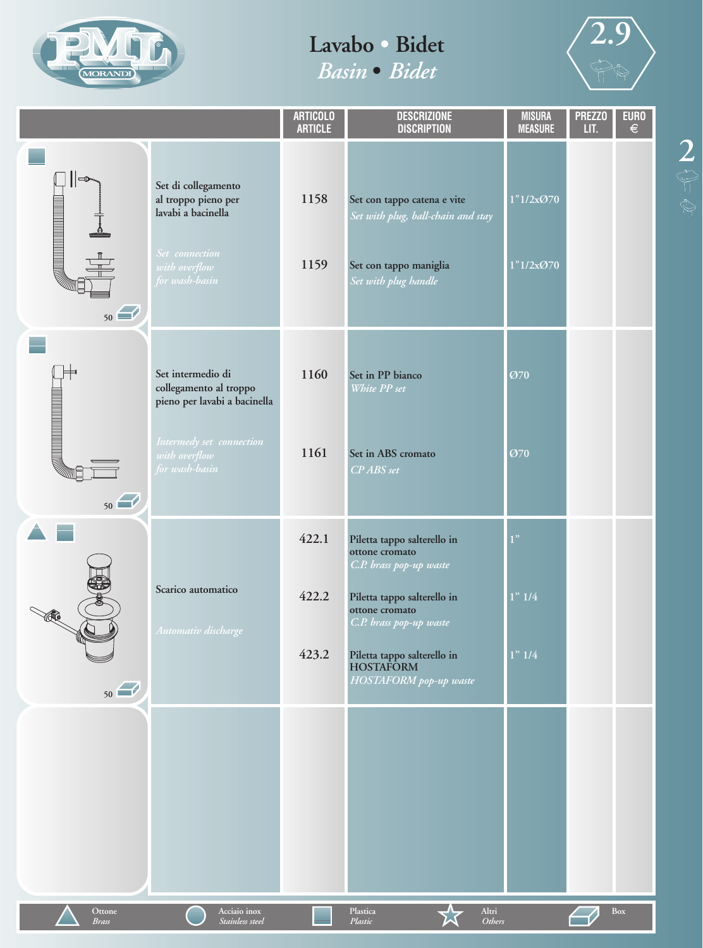



|                                                                                                                                              |                                                                                                                                            | <b>ARTICOLO</b><br><b>ARTICLE</b> | <b>DESCRIZIONE</b><br><b>DISCRIPTION</b>                                                                                                                                                                                          | <b>MISURA</b><br><b>MEASURE</b> | <b>PREZZO</b><br>LIT. | <b>EURO</b><br>$\in$ |
|----------------------------------------------------------------------------------------------------------------------------------------------|--------------------------------------------------------------------------------------------------------------------------------------------|-----------------------------------|-----------------------------------------------------------------------------------------------------------------------------------------------------------------------------------------------------------------------------------|---------------------------------|-----------------------|----------------------|
| $\Rightarrow$<br><b>SANTAN MANAHARATAN DENGAN DENGAN DENGAN DENGAN DENGAN DENGAN DENGAN DENGAN DENGAN DENGAN DENGAN DENGAN DENGAN </b><br>50 | Set di collegamento<br>al troppo pieno per<br>lavabi a bacinella<br>Set connection<br>with overflow<br>for wash-basin                      | 1158<br>1159                      | Set con tappo catena e vite<br>Set with plug, ball-chain and stay<br>Set con tappo maniglia<br>Set with plug handle                                                                                                               | 1"1/2x@70<br>1"1/2x@70          |                       |                      |
| <b>SAN AN DE ANNO DE ANNO DE ANNO DE ANNO DE ANNO DE ANNO DE ANNO DE ANNO DE ANNO DE ANNO DE ANNO DE ANNO DE ANN</b><br>50                   | Set intermedio di<br>collegamento al troppo<br>pieno per lavabi a bacinella<br>Intermedy set connection<br>with overflow<br>for wash-basin | 1160<br>1161                      | Set in PP bianco<br>White PP set<br>Set in ABS cromato<br>CP ABS set                                                                                                                                                              | Ø70<br>Ø70                      |                       |                      |
| R<br>50                                                                                                                                      | Scarico automatico<br>Automativ <mark>discharge</mark>                                                                                     | 422.1<br>422.2<br>423.2           | Piletta tappo salterello in<br>ottone cromato<br>C.P. brass pop-up waste<br>Piletta tappo salterello in<br>ottone cromato<br>C.P. brass pop-up waste<br>Piletta tappo salterello in<br><b>HOSTAFORM</b><br>HOSTAFORM pop-up waste | 1"<br>$1"$ $1/4$<br>1" 1/4      |                       |                      |
|                                                                                                                                              |                                                                                                                                            |                                   |                                                                                                                                                                                                                                   |                                 |                       |                      |
| Ottone<br><b>Brass</b>                                                                                                                       | Acciaio inox<br>Stainless steel                                                                                                            |                                   | Altri<br>Plastica<br>Plastic<br>Others                                                                                                                                                                                            |                                 |                       | Box                  |